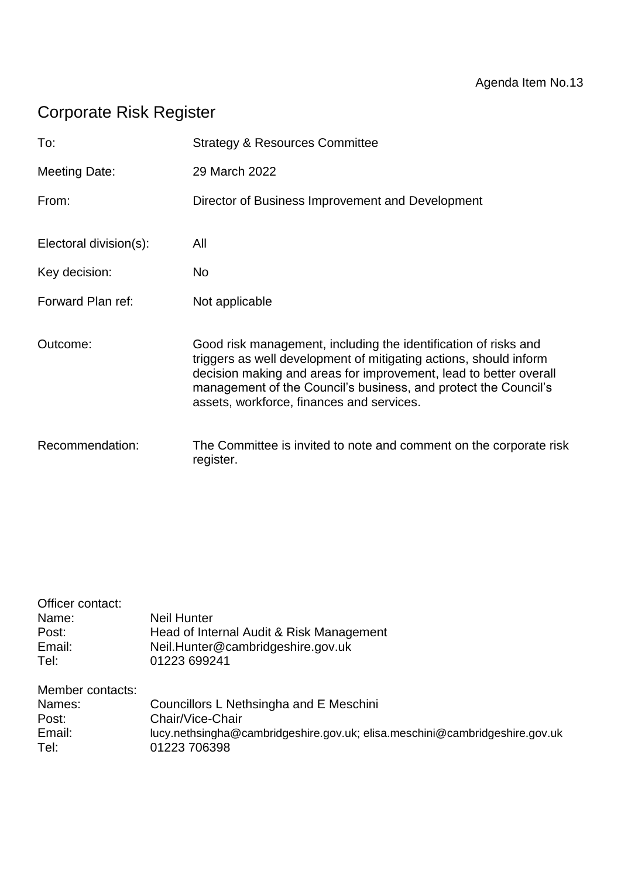# Corporate Risk Register

| To:                    | <b>Strategy &amp; Resources Committee</b>                                                                                                                                                                                                                                                                                 |
|------------------------|---------------------------------------------------------------------------------------------------------------------------------------------------------------------------------------------------------------------------------------------------------------------------------------------------------------------------|
| <b>Meeting Date:</b>   | 29 March 2022                                                                                                                                                                                                                                                                                                             |
| From:                  | Director of Business Improvement and Development                                                                                                                                                                                                                                                                          |
| Electoral division(s): | All                                                                                                                                                                                                                                                                                                                       |
| Key decision:          | No.                                                                                                                                                                                                                                                                                                                       |
| Forward Plan ref:      | Not applicable                                                                                                                                                                                                                                                                                                            |
| Outcome:               | Good risk management, including the identification of risks and<br>triggers as well development of mitigating actions, should inform<br>decision making and areas for improvement, lead to better overall<br>management of the Council's business, and protect the Council's<br>assets, workforce, finances and services. |
| Recommendation:        | The Committee is invited to note and comment on the corporate risk<br>register.                                                                                                                                                                                                                                           |

| Officer contact: |                                                                             |
|------------------|-----------------------------------------------------------------------------|
| Name:            | <b>Neil Hunter</b>                                                          |
| Post:            | Head of Internal Audit & Risk Management                                    |
| Email:           | Neil.Hunter@cambridgeshire.gov.uk                                           |
| Tel:             | 01223 699241                                                                |
| Member contacts: |                                                                             |
| Names:           | Councillors L Nethsingha and E Meschini                                     |
| Post:            | Chair/Vice-Chair                                                            |
| Email:           | lucy.nethsingha@cambridgeshire.gov.uk; elisa.meschini@cambridgeshire.gov.uk |
| Tel:             | 01223 706398                                                                |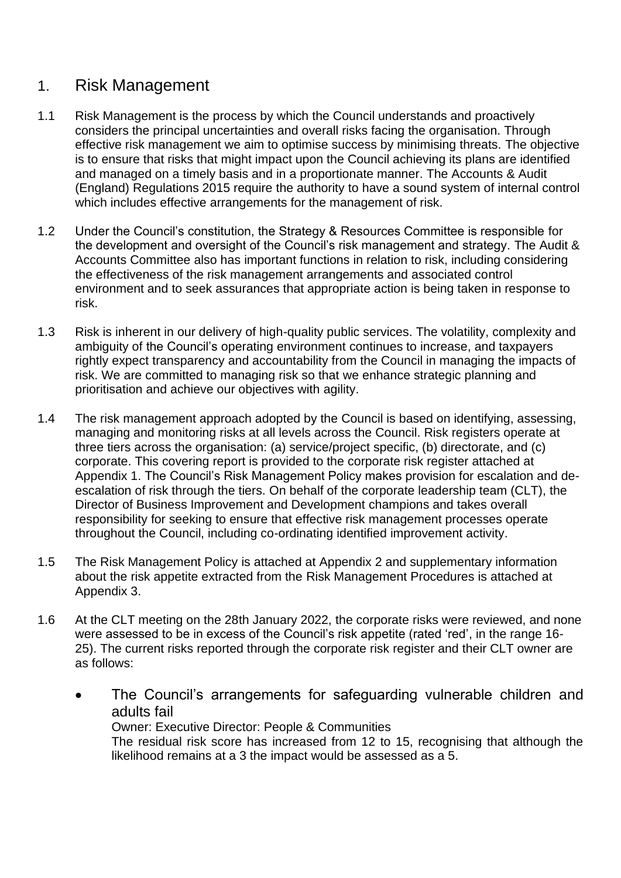## 1. Risk Management

- 1.1 Risk Management is the process by which the Council understands and proactively considers the principal uncertainties and overall risks facing the organisation. Through effective risk management we aim to optimise success by minimising threats. The objective is to ensure that risks that might impact upon the Council achieving its plans are identified and managed on a timely basis and in a proportionate manner. The Accounts & Audit (England) Regulations 2015 require the authority to have a sound system of internal control which includes effective arrangements for the management of risk.
- 1.2 Under the Council's constitution, the Strategy & Resources Committee is responsible for the development and oversight of the Council's risk management and strategy. The Audit & Accounts Committee also has important functions in relation to risk, including considering the effectiveness of the risk management arrangements and associated control environment and to seek assurances that appropriate action is being taken in response to risk.
- 1.3 Risk is inherent in our delivery of high-quality public services. The volatility, complexity and ambiguity of the Council's operating environment continues to increase, and taxpayers rightly expect transparency and accountability from the Council in managing the impacts of risk. We are committed to managing risk so that we enhance strategic planning and prioritisation and achieve our objectives with agility.
- 1.4 The risk management approach adopted by the Council is based on identifying, assessing, managing and monitoring risks at all levels across the Council. Risk registers operate at three tiers across the organisation: (a) service/project specific, (b) directorate, and (c) corporate. This covering report is provided to the corporate risk register attached at Appendix 1. The Council's Risk Management Policy makes provision for escalation and deescalation of risk through the tiers. On behalf of the corporate leadership team (CLT), the Director of Business Improvement and Development champions and takes overall responsibility for seeking to ensure that effective risk management processes operate throughout the Council, including co-ordinating identified improvement activity.
- 1.5 The Risk Management Policy is attached at Appendix 2 and supplementary information about the risk appetite extracted from the Risk Management Procedures is attached at Appendix 3.
- 1.6 At the CLT meeting on the 28th January 2022, the corporate risks were reviewed, and none were assessed to be in excess of the Council's risk appetite (rated 'red', in the range 16- 25). The current risks reported through the corporate risk register and their CLT owner are as follows:
	- The Council's arrangements for safeguarding vulnerable children and adults fail Owner: Executive Director: People & Communities

The residual risk score has increased from 12 to 15, recognising that although the likelihood remains at a 3 the impact would be assessed as a 5.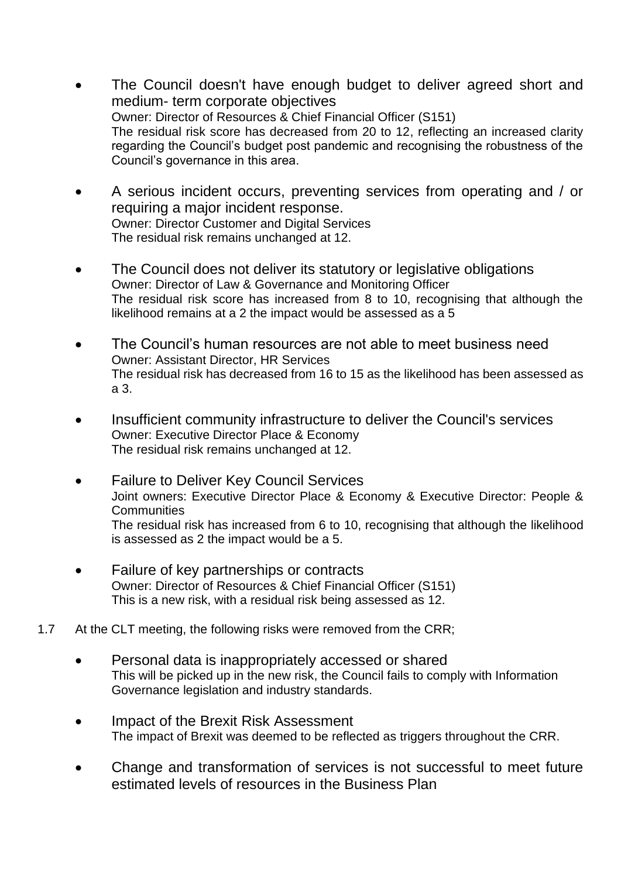- The Council doesn't have enough budget to deliver agreed short and medium- term corporate objectives Owner: Director of Resources & Chief Financial Officer (S151) The residual risk score has decreased from 20 to 12, reflecting an increased clarity regarding the Council's budget post pandemic and recognising the robustness of the Council's governance in this area.
- A serious incident occurs, preventing services from operating and / or requiring a major incident response. Owner: Director Customer and Digital Services The residual risk remains unchanged at 12.
- The Council does not deliver its statutory or legislative obligations Owner: Director of Law & Governance and Monitoring Officer The residual risk score has increased from 8 to 10, recognising that although the likelihood remains at a 2 the impact would be assessed as a 5
- The Council's human resources are not able to meet business need Owner: Assistant Director, HR Services The residual risk has decreased from 16 to 15 as the likelihood has been assessed as a 3.
- Insufficient community infrastructure to deliver the Council's services Owner: Executive Director Place & Economy The residual risk remains unchanged at 12.
- Failure to Deliver Key Council Services Joint owners: Executive Director Place & Economy & Executive Director: People & **Communities** The residual risk has increased from 6 to 10, recognising that although the likelihood is assessed as 2 the impact would be a 5.
- Failure of key partnerships or contracts Owner: Director of Resources & Chief Financial Officer (S151) This is a new risk, with a residual risk being assessed as 12.
- 1.7 At the CLT meeting, the following risks were removed from the CRR;
	- Personal data is inappropriately accessed or shared This will be picked up in the new risk, the Council fails to comply with Information Governance legislation and industry standards.
	- Impact of the Brexit Risk Assessment The impact of Brexit was deemed to be reflected as triggers throughout the CRR.
	- Change and transformation of services is not successful to meet future estimated levels of resources in the Business Plan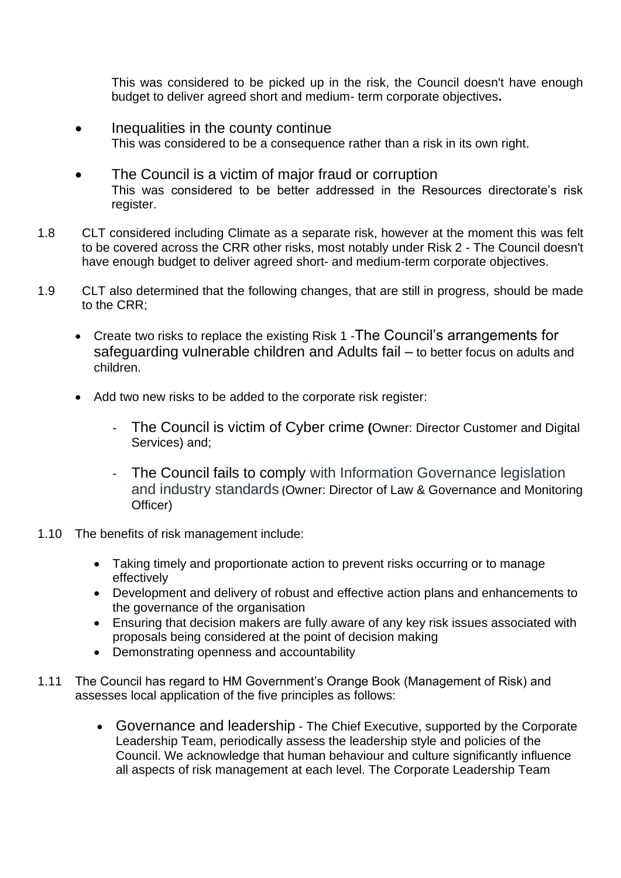This was considered to be picked up in the risk, the Council doesn't have enough budget to deliver agreed short and medium- term corporate objectives**.**

- Inequalities in the county continue This was considered to be a consequence rather than a risk in its own right.
- The Council is a victim of major fraud or corruption This was considered to be better addressed in the Resources directorate's risk register.
- 1.8 CLT considered including Climate as a separate risk, however at the moment this was felt to be covered across the CRR other risks, most notably under Risk 2 - The Council doesn't have enough budget to deliver agreed short- and medium-term corporate objectives.
- 1.9 CLT also determined that the following changes, that are still in progress, should be made to the CRR;
	- Create two risks to replace the existing Risk 1 -The Council's arrangements for safeguarding vulnerable children and Adults fail – to better focus on adults and children.
	- Add two new risks to be added to the corporate risk register:
		- The Council is victim of Cyber crime **(**Owner: Director Customer and Digital Services) and;
		- The Council fails to comply with Information Governance legislation and industry standards **(**Owner: Director of Law & Governance and Monitoring Officer)
- 1.10 The benefits of risk management include:
	- Taking timely and proportionate action to prevent risks occurring or to manage effectively
	- Development and delivery of robust and effective action plans and enhancements to the governance of the organisation
	- Ensuring that decision makers are fully aware of any key risk issues associated with proposals being considered at the point of decision making
	- Demonstrating openness and accountability
- 1.11 The Council has regard to HM Government's Orange Book (Management of Risk) and assesses local application of the five principles as follows:
	- Governance and leadership The Chief Executive, supported by the Corporate Leadership Team, periodically assess the leadership style and policies of the Council. We acknowledge that human behaviour and culture significantly influence all aspects of risk management at each level. The Corporate Leadership Team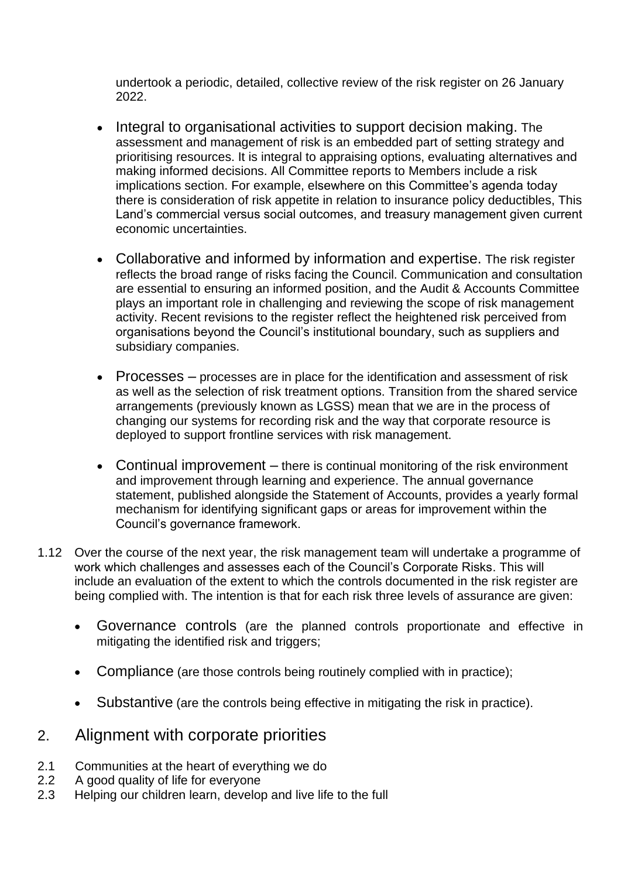undertook a periodic, detailed, collective review of the risk register on 26 January 2022.

- Integral to organisational activities to support decision making. The assessment and management of risk is an embedded part of setting strategy and prioritising resources. It is integral to appraising options, evaluating alternatives and making informed decisions. All Committee reports to Members include a risk implications section. For example, elsewhere on this Committee's agenda today there is consideration of risk appetite in relation to insurance policy deductibles, This Land's commercial versus social outcomes, and treasury management given current economic uncertainties.
- Collaborative and informed by information and expertise. The risk register reflects the broad range of risks facing the Council. Communication and consultation are essential to ensuring an informed position, and the Audit & Accounts Committee plays an important role in challenging and reviewing the scope of risk management activity. Recent revisions to the register reflect the heightened risk perceived from organisations beyond the Council's institutional boundary, such as suppliers and subsidiary companies.
- Processes processes are in place for the identification and assessment of risk as well as the selection of risk treatment options. Transition from the shared service arrangements (previously known as LGSS) mean that we are in the process of changing our systems for recording risk and the way that corporate resource is deployed to support frontline services with risk management.
- Continual improvement there is continual monitoring of the risk environment and improvement through learning and experience. The annual governance statement, published alongside the Statement of Accounts, provides a yearly formal mechanism for identifying significant gaps or areas for improvement within the Council's governance framework.
- 1.12 Over the course of the next year, the risk management team will undertake a programme of work which challenges and assesses each of the Council's Corporate Risks. This will include an evaluation of the extent to which the controls documented in the risk register are being complied with. The intention is that for each risk three levels of assurance are given:
	- Governance controls (are the planned controls proportionate and effective in mitigating the identified risk and triggers;
	- Compliance (are those controls being routinely complied with in practice);
	- Substantive (are the controls being effective in mitigating the risk in practice).

### 2. Alignment with corporate priorities

- 2.1 Communities at the heart of everything we do
- 2.2 A good quality of life for everyone
- 2.3 Helping our children learn, develop and live life to the full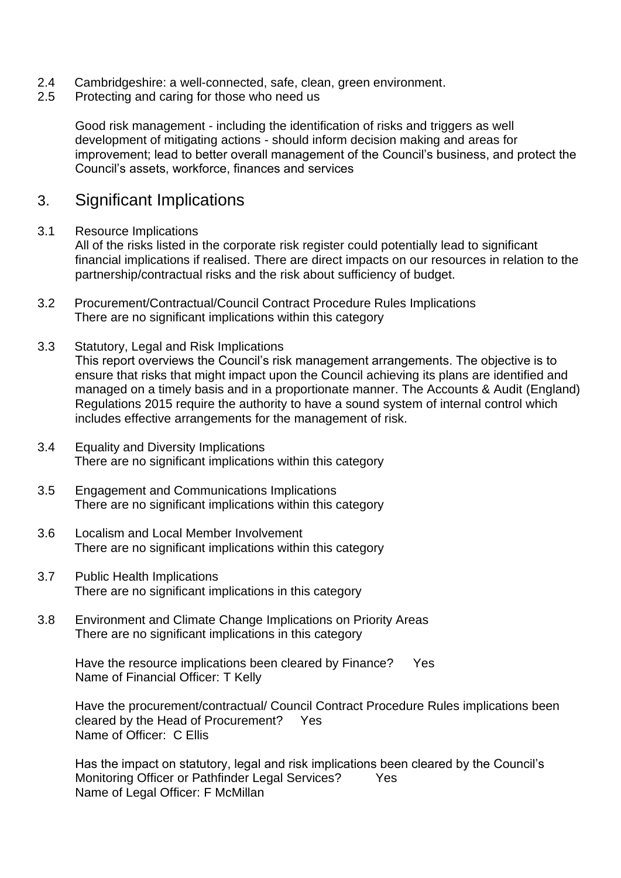- 2.4 Cambridgeshire: a well-connected, safe, clean, green environment.
- 2.5 Protecting and caring for those who need us

Good risk management - including the identification of risks and triggers as well development of mitigating actions - should inform decision making and areas for improvement; lead to better overall management of the Council's business, and protect the Council's assets, workforce, finances and services

#### 3. Significant Implications

#### 3.1 Resource Implications

All of the risks listed in the corporate risk register could potentially lead to significant financial implications if realised. There are direct impacts on our resources in relation to the partnership/contractual risks and the risk about sufficiency of budget.

- 3.2 Procurement/Contractual/Council Contract Procedure Rules Implications There are no significant implications within this category
- 3.3 Statutory, Legal and Risk Implications This report overviews the Council's risk management arrangements. The objective is to ensure that risks that might impact upon the Council achieving its plans are identified and managed on a timely basis and in a proportionate manner. The Accounts & Audit (England) Regulations 2015 require the authority to have a sound system of internal control which includes effective arrangements for the management of risk.
- 3.4 Equality and Diversity Implications There are no significant implications within this category
- 3.5 Engagement and Communications Implications There are no significant implications within this category
- 3.6 Localism and Local Member Involvement There are no significant implications within this category
- 3.7 Public Health Implications There are no significant implications in this category
- 3.8 Environment and Climate Change Implications on Priority Areas There are no significant implications in this category

Have the resource implications been cleared by Finance? Yes Name of Financial Officer: T Kelly

Have the procurement/contractual/ Council Contract Procedure Rules implications been cleared by the Head of Procurement? Yes Name of Officer: C Ellis

Has the impact on statutory, legal and risk implications been cleared by the Council's Monitoring Officer or Pathfinder Legal Services? Yes Name of Legal Officer: F McMillan